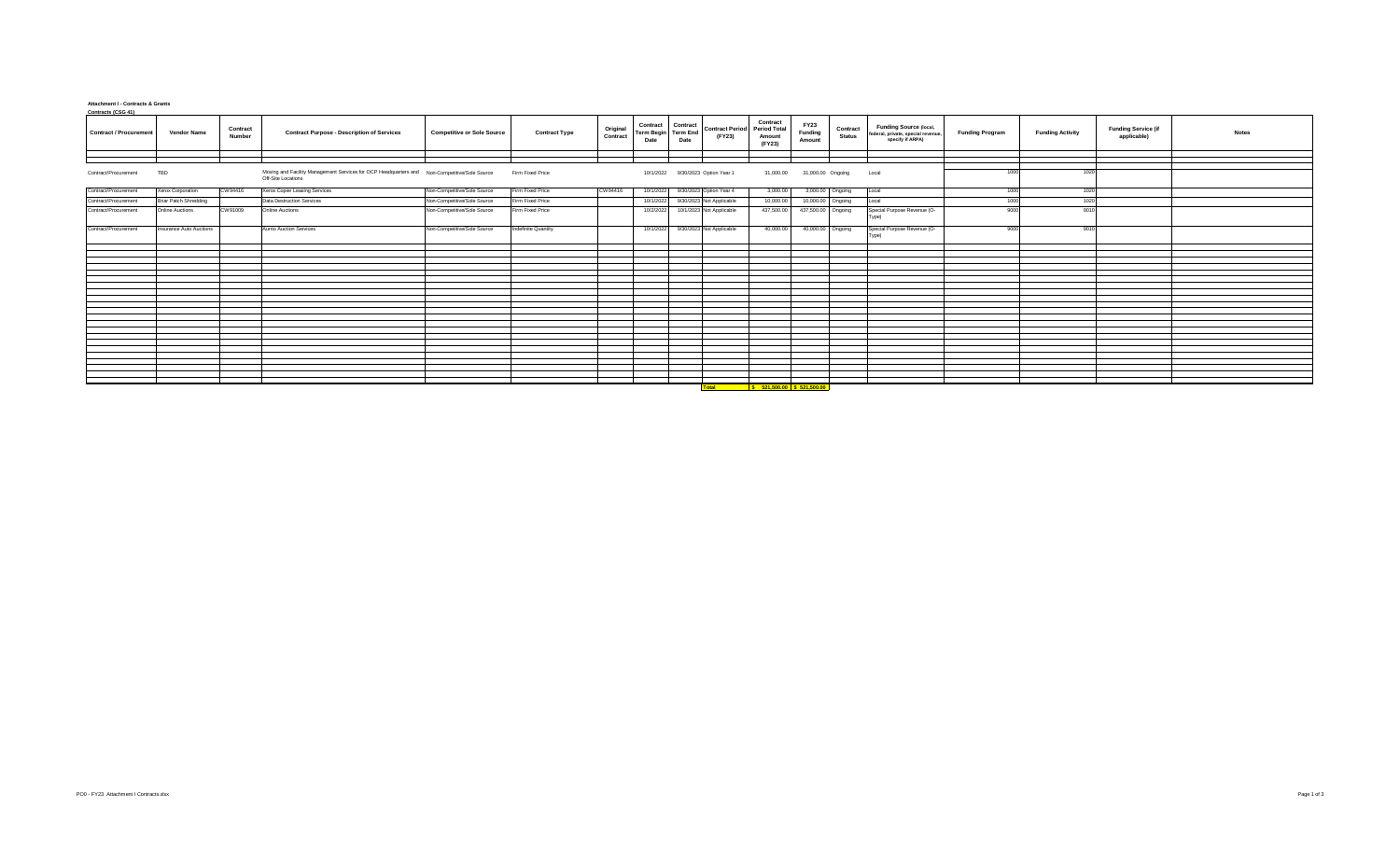## **Attachment I - Contracts & Grants Contracts (CSG 41)**

| <b>Contract / Procurement</b> | Vendor Name                  | Contract<br>Number | <b>Contract Purpose - Description of Services</b>                                                                  | <b>Competitive or Sole Source</b> | <b>Contract Type</b> | Original<br>Contract | Contract Contract<br>Term Begin Term End<br>Date | Date                               | <b>Contract Period</b> Period Total<br>(FY23) | Contract<br>Amount<br>(FY23)                                                                                 | <b>FY23</b><br>Funding<br>Amount | Contract<br><b>Status</b> | Funding Source (local,<br>federal, private, special revenue<br>specify if ARPA) | <b>Funding Program</b> | <b>Funding Activity</b> | <b>Funding Service (if</b><br>applicable) | <b>Notes</b> |
|-------------------------------|------------------------------|--------------------|--------------------------------------------------------------------------------------------------------------------|-----------------------------------|----------------------|----------------------|--------------------------------------------------|------------------------------------|-----------------------------------------------|--------------------------------------------------------------------------------------------------------------|----------------------------------|---------------------------|---------------------------------------------------------------------------------|------------------------|-------------------------|-------------------------------------------|--------------|
|                               |                              |                    |                                                                                                                    |                                   |                      |                      |                                                  |                                    |                                               |                                                                                                              |                                  |                           |                                                                                 |                        |                         |                                           |              |
|                               |                              |                    |                                                                                                                    |                                   |                      |                      |                                                  |                                    |                                               |                                                                                                              |                                  |                           |                                                                                 |                        |                         |                                           |              |
| Contract/Procurement          | TBD                          |                    | Moving and Facility Management Services for OCP Headquarters and Non-Competitive/Sole Source<br>Off-Site Locations |                                   | Firm Fixed Price     |                      |                                                  | 10/1/2022 9/30/2023 Option Year 1  |                                               | 31,000.00                                                                                                    | 31,000.00 Ongoing                |                           | Local                                                                           | 1000                   | 1020                    |                                           |              |
| Contract/Procurement          | Xerox Corporation            | CW94416            | Xerox Copier Leasing Services                                                                                      | Non-Competitive/Sole Source       | Firm Fixed Price     | CW94416              |                                                  | 10/1/2022 9/30/2023 Option Year 4  |                                               | 3,000.00                                                                                                     |                                  | 3,000.00 Ongoing          | Local                                                                           | 1000                   | 1020                    |                                           |              |
| Contract/Procurement          | <b>Briar Patch Shredding</b> |                    | <b>Data Destruction Services</b>                                                                                   | Non-Competitive/Sole Source       | Firm Fixed Price     |                      | 10/1/2022                                        | 9/30/2023 Not Applicable           |                                               | 10,000.00                                                                                                    |                                  | 10,000.00 Ongoing         | Local                                                                           | 1000                   | 102                     |                                           |              |
| Contract/Procurement          | <b>Online Auctions</b>       | CW91009            | <b>Online Auctions</b>                                                                                             | Non-Competitive/Sole Source       | Firm Fixed Price     |                      |                                                  | 10/2/2022 10/1/2023 Not Applicable |                                               | 437,500.00                                                                                                   | 437,500.00 Ongoing               |                           | Special Purpose Revenue (O-<br>Type)                                            | 9000                   | 901                     |                                           |              |
| Contract/Procurement          | Insurance Auto Auctions      |                    | <b>Aunto Auction Services</b>                                                                                      | Non-Competitive/Sole Source       | Indefinite Quantity  |                      |                                                  | 10/1/2022 9/30/2023 Not Applicable |                                               | 40,000.00                                                                                                    | 40,000.00 Ongoing                |                           | Special Purpose Revenue (O-<br>Type)                                            | 9000                   | 9010                    |                                           |              |
|                               |                              |                    |                                                                                                                    |                                   |                      |                      |                                                  |                                    |                                               |                                                                                                              |                                  |                           |                                                                                 |                        |                         |                                           |              |
|                               |                              |                    |                                                                                                                    |                                   |                      |                      |                                                  |                                    |                                               |                                                                                                              |                                  |                           |                                                                                 |                        |                         |                                           |              |
|                               |                              |                    |                                                                                                                    |                                   |                      |                      |                                                  |                                    |                                               |                                                                                                              |                                  |                           |                                                                                 |                        |                         |                                           |              |
|                               |                              |                    |                                                                                                                    |                                   |                      |                      |                                                  |                                    |                                               |                                                                                                              |                                  |                           |                                                                                 |                        |                         |                                           |              |
|                               |                              |                    |                                                                                                                    |                                   |                      |                      |                                                  |                                    |                                               |                                                                                                              |                                  |                           |                                                                                 |                        |                         |                                           |              |
|                               |                              |                    |                                                                                                                    |                                   |                      |                      |                                                  |                                    |                                               |                                                                                                              |                                  |                           |                                                                                 |                        |                         |                                           |              |
|                               |                              |                    |                                                                                                                    |                                   |                      |                      |                                                  |                                    |                                               |                                                                                                              |                                  |                           |                                                                                 |                        |                         |                                           |              |
|                               |                              |                    |                                                                                                                    |                                   |                      |                      |                                                  |                                    |                                               |                                                                                                              |                                  |                           |                                                                                 |                        |                         |                                           |              |
|                               |                              |                    |                                                                                                                    |                                   |                      |                      |                                                  |                                    |                                               |                                                                                                              |                                  |                           |                                                                                 |                        |                         |                                           |              |
|                               |                              |                    |                                                                                                                    |                                   |                      |                      |                                                  |                                    |                                               |                                                                                                              |                                  |                           |                                                                                 |                        |                         |                                           |              |
|                               |                              |                    |                                                                                                                    |                                   |                      |                      |                                                  |                                    |                                               |                                                                                                              |                                  |                           |                                                                                 |                        |                         |                                           |              |
|                               |                              |                    |                                                                                                                    |                                   |                      |                      |                                                  |                                    |                                               |                                                                                                              |                                  |                           |                                                                                 |                        |                         |                                           |              |
|                               |                              |                    |                                                                                                                    |                                   |                      |                      |                                                  |                                    |                                               |                                                                                                              |                                  |                           |                                                                                 |                        |                         |                                           |              |
|                               |                              |                    |                                                                                                                    |                                   |                      |                      |                                                  |                                    |                                               |                                                                                                              |                                  |                           |                                                                                 |                        |                         |                                           |              |
|                               |                              |                    |                                                                                                                    |                                   |                      |                      |                                                  |                                    |                                               |                                                                                                              |                                  |                           |                                                                                 |                        |                         |                                           |              |
|                               |                              |                    |                                                                                                                    |                                   |                      |                      |                                                  |                                    |                                               |                                                                                                              |                                  |                           |                                                                                 |                        |                         |                                           |              |
|                               |                              |                    |                                                                                                                    |                                   |                      |                      |                                                  |                                    |                                               |                                                                                                              |                                  |                           |                                                                                 |                        |                         |                                           |              |
|                               |                              |                    |                                                                                                                    |                                   |                      |                      |                                                  |                                    |                                               |                                                                                                              |                                  |                           |                                                                                 |                        |                         |                                           |              |
|                               |                              |                    |                                                                                                                    |                                   |                      |                      |                                                  |                                    |                                               |                                                                                                              |                                  |                           |                                                                                 |                        |                         |                                           |              |
|                               |                              |                    |                                                                                                                    |                                   |                      |                      |                                                  |                                    |                                               |                                                                                                              |                                  |                           |                                                                                 |                        |                         |                                           |              |
|                               |                              |                    |                                                                                                                    |                                   |                      |                      |                                                  |                                    |                                               |                                                                                                              |                                  |                           |                                                                                 |                        |                         |                                           |              |
|                               |                              |                    |                                                                                                                    |                                   |                      |                      |                                                  |                                    | <b>Total</b>                                  | <b>SECURE 18 SECURE 18 SECURE 18 SECURE 18 SECURE 18 SECURE 18 SECURE 18 SECURE 18 SECURE 18 SECURE 18 S</b> |                                  |                           |                                                                                 |                        |                         |                                           |              |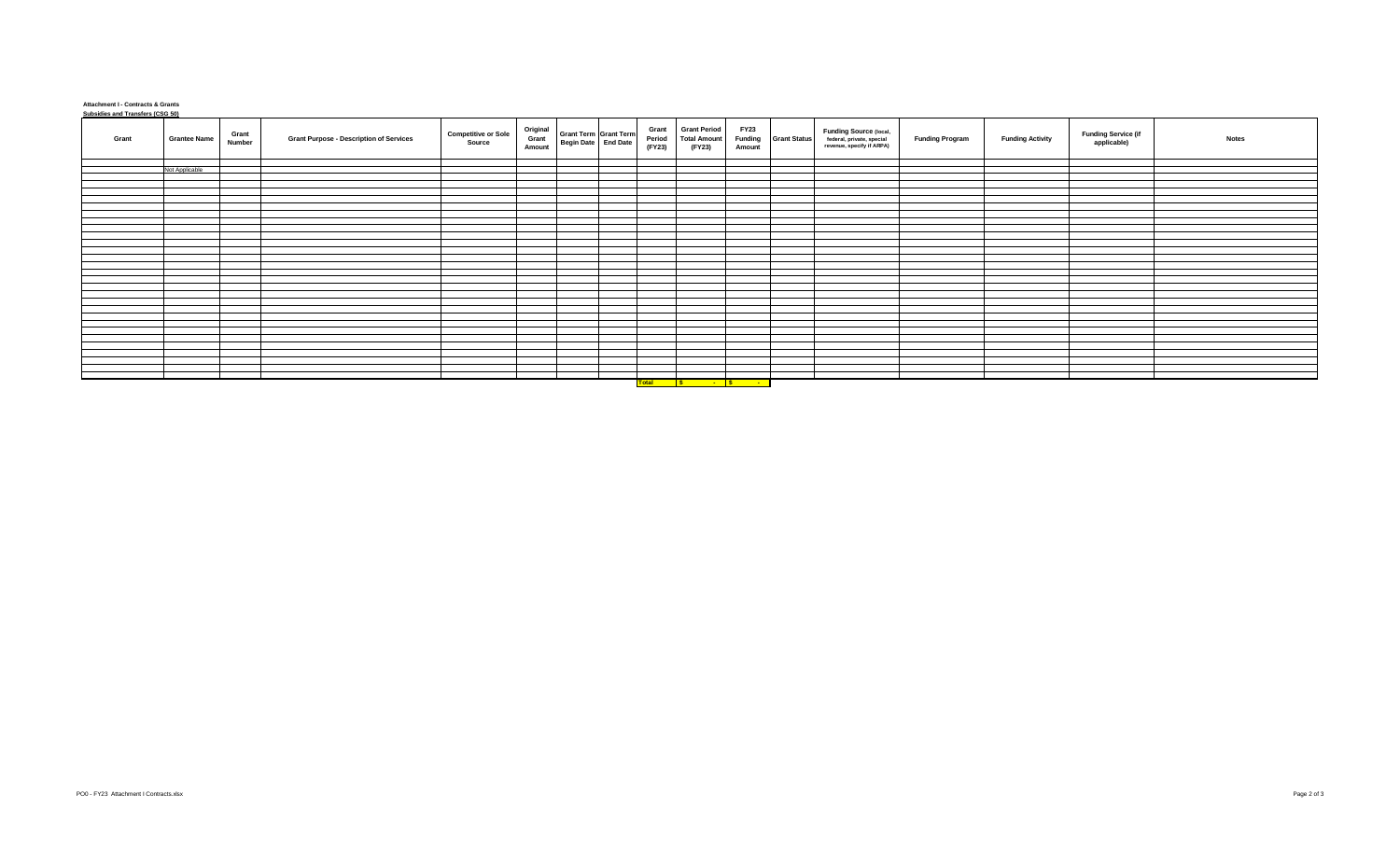## **Attachment I - Contracts & Grants Subsidies and Transfers (CSG 50)**

| Grant |                | <b>Grantee Name</b> | Grant<br>Number | <b>Grant Purpose - Description of Services</b> | <b>Competitive or Sole</b><br>Source | Original<br>Grant<br>Amount | Grant Term Grant Term<br>Begin Date End Date | Grant<br>Period<br>(FY23) | <b>Grant Period</b><br><b>Total Amount</b><br>(FY23) | <b>FY23</b><br>Funding<br>Amount | <b>Grant Status</b> | <b>Funding Source (local,</b><br>federal, private, special<br>revenue, specify if ARPA) | <b>Funding Program</b> | <b>Funding Activity</b> | <b>Funding Service (if</b><br>applicable) | <b>Notes</b> |
|-------|----------------|---------------------|-----------------|------------------------------------------------|--------------------------------------|-----------------------------|----------------------------------------------|---------------------------|------------------------------------------------------|----------------------------------|---------------------|-----------------------------------------------------------------------------------------|------------------------|-------------------------|-------------------------------------------|--------------|
|       |                |                     |                 |                                                |                                      |                             |                                              |                           |                                                      |                                  |                     |                                                                                         |                        |                         |                                           |              |
|       | Not Applicable |                     |                 |                                                |                                      |                             |                                              |                           |                                                      |                                  |                     |                                                                                         |                        |                         |                                           |              |
|       |                |                     |                 |                                                |                                      |                             |                                              |                           |                                                      |                                  |                     |                                                                                         |                        |                         |                                           |              |
|       |                |                     |                 |                                                |                                      |                             |                                              |                           |                                                      |                                  |                     |                                                                                         |                        |                         |                                           |              |
|       |                |                     |                 |                                                |                                      |                             |                                              |                           |                                                      |                                  |                     |                                                                                         |                        |                         |                                           |              |
|       |                |                     |                 |                                                |                                      |                             |                                              |                           |                                                      |                                  |                     |                                                                                         |                        |                         |                                           |              |
|       |                |                     |                 |                                                |                                      |                             |                                              |                           |                                                      |                                  |                     |                                                                                         |                        |                         |                                           |              |
|       |                |                     |                 |                                                |                                      |                             |                                              |                           |                                                      |                                  |                     |                                                                                         |                        |                         |                                           |              |
|       |                |                     |                 |                                                |                                      |                             |                                              |                           |                                                      |                                  |                     |                                                                                         |                        |                         |                                           |              |
|       |                |                     |                 |                                                |                                      |                             |                                              |                           |                                                      |                                  |                     |                                                                                         |                        |                         |                                           |              |
|       |                |                     |                 |                                                |                                      |                             |                                              |                           |                                                      |                                  |                     |                                                                                         |                        |                         |                                           |              |
|       |                |                     |                 |                                                |                                      |                             |                                              |                           |                                                      |                                  |                     |                                                                                         |                        |                         |                                           |              |
|       |                |                     |                 |                                                |                                      |                             |                                              |                           |                                                      |                                  |                     |                                                                                         |                        |                         |                                           |              |
|       |                |                     |                 |                                                |                                      |                             |                                              |                           |                                                      |                                  |                     |                                                                                         |                        |                         |                                           |              |
|       |                |                     |                 |                                                |                                      |                             |                                              |                           |                                                      |                                  |                     |                                                                                         |                        |                         |                                           |              |
|       |                |                     |                 |                                                |                                      |                             |                                              |                           |                                                      |                                  |                     |                                                                                         |                        |                         |                                           |              |
|       |                |                     |                 |                                                |                                      |                             |                                              |                           |                                                      |                                  |                     |                                                                                         |                        |                         |                                           |              |
|       |                |                     |                 |                                                |                                      |                             |                                              |                           |                                                      |                                  |                     |                                                                                         |                        |                         |                                           |              |
|       |                |                     |                 |                                                |                                      |                             |                                              |                           |                                                      |                                  |                     |                                                                                         |                        |                         |                                           |              |
|       |                |                     |                 |                                                |                                      |                             |                                              |                           |                                                      |                                  |                     |                                                                                         |                        |                         |                                           |              |
|       |                |                     |                 |                                                |                                      |                             |                                              |                           |                                                      |                                  |                     |                                                                                         |                        |                         |                                           |              |
|       |                |                     |                 |                                                |                                      |                             |                                              |                           |                                                      |                                  |                     |                                                                                         |                        |                         |                                           |              |
|       |                |                     |                 |                                                |                                      |                             |                                              |                           |                                                      |                                  |                     |                                                                                         |                        |                         |                                           |              |
|       |                |                     |                 |                                                |                                      |                             |                                              |                           |                                                      |                                  |                     |                                                                                         |                        |                         |                                           |              |
|       |                |                     |                 |                                                |                                      |                             |                                              |                           |                                                      |                                  |                     |                                                                                         |                        |                         |                                           |              |
|       |                |                     |                 |                                                |                                      |                             |                                              |                           |                                                      |                                  |                     |                                                                                         |                        |                         |                                           |              |
|       |                |                     |                 |                                                |                                      |                             |                                              |                           |                                                      |                                  |                     |                                                                                         |                        |                         |                                           |              |
|       |                |                     |                 |                                                |                                      |                             |                                              |                           |                                                      |                                  |                     |                                                                                         |                        |                         |                                           |              |
|       |                |                     |                 |                                                |                                      |                             |                                              |                           | Total S - S - T                                      |                                  |                     |                                                                                         |                        |                         |                                           |              |